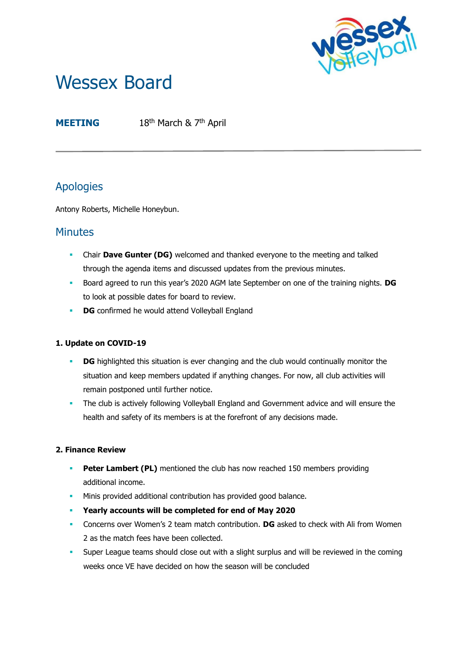

# Wessex Board

**MEETING** 18<sup>th</sup> March & 7<sup>th</sup> April

# Apologies

Antony Roberts, Michelle Honeybun.

## **Minutes**

- **Chair Dave Gunter (DG)** welcomed and thanked everyone to the meeting and talked through the agenda items and discussed updates from the previous minutes.
- Board agreed to run this year's 2020 AGM late September on one of the training nights. **DG** to look at possible dates for board to review.
- **DG** confirmed he would attend Volleyball England

### **1. Update on COVID-19**

- **DG** highlighted this situation is ever changing and the club would continually monitor the situation and keep members updated if anything changes. For now, all club activities will remain postponed until further notice.
- **•** The club is actively following Volleyball England and Government advice and will ensure the health and safety of its members is at the forefront of any decisions made.

#### **2. Finance Review**

- **Peter Lambert (PL)** mentioned the club has now reached 150 members providing additional income.
- **■** Minis provided additional contribution has provided good balance.
- **Yearly accounts will be completed for end of May 2020**
- Concerns over Women's 2 team match contribution. **DG** asked to check with Ali from Women 2 as the match fees have been collected.
- **•** Super League teams should close out with a slight surplus and will be reviewed in the coming weeks once VE have decided on how the season will be concluded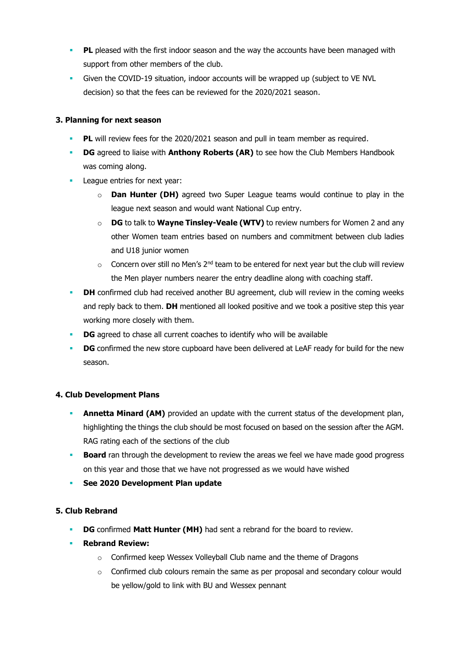- **PL** pleased with the first indoor season and the way the accounts have been managed with support from other members of the club.
- Given the COVID-19 situation, indoor accounts will be wrapped up (subject to VE NVL decision) so that the fees can be reviewed for the 2020/2021 season.

#### **3. Planning for next season**

- **PL** will review fees for the 2020/2021 season and pull in team member as required.
- **DG** agreed to liaise with **Anthony Roberts (AR)** to see how the Club Members Handbook was coming along.
- **•** League entries for next year:
	- **Dan Hunter (DH)** agreed two Super League teams would continue to play in the league next season and would want National Cup entry.
	- o **DG** to talk to **Wayne Tinsley-Veale (WTV)** to review numbers for Women 2 and any other Women team entries based on numbers and commitment between club ladies and U18 junior women
	- $\circ$  Concern over still no Men's 2<sup>nd</sup> team to be entered for next year but the club will review the Men player numbers nearer the entry deadline along with coaching staff.
- **DH** confirmed club had received another BU agreement, club will review in the coming weeks and reply back to them. **DH** mentioned all looked positive and we took a positive step this year working more closely with them.
- **DG** agreed to chase all current coaches to identify who will be available
- **DG** confirmed the new store cupboard have been delivered at LeAF ready for build for the new season.

#### **4. Club Development Plans**

- **Annetta Minard (AM)** provided an update with the current status of the development plan, highlighting the things the club should be most focused on based on the session after the AGM. RAG rating each of the sections of the club
- **Board** ran through the development to review the areas we feel we have made good progress on this year and those that we have not progressed as we would have wished
- **See 2020 Development Plan update**

#### **5. Club Rebrand**

- **DG** confirmed **Matt Hunter (MH)** had sent a rebrand for the board to review.
- **Rebrand Review:** 
	- o Confirmed keep Wessex Volleyball Club name and the theme of Dragons
	- $\circ$  Confirmed club colours remain the same as per proposal and secondary colour would be yellow/gold to link with BU and Wessex pennant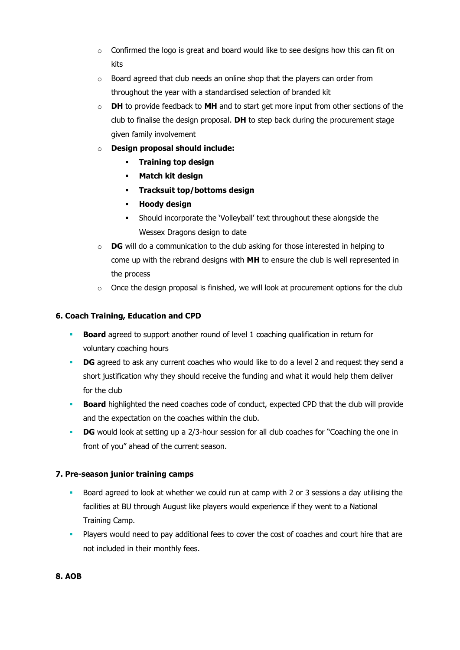- $\circ$  Confirmed the logo is great and board would like to see designs how this can fit on kits
- $\circ$  Board agreed that club needs an online shop that the players can order from throughout the year with a standardised selection of branded kit
- o **DH** to provide feedback to **MH** and to start get more input from other sections of the club to finalise the design proposal. **DH** to step back during the procurement stage given family involvement
- o **Design proposal should include:**
	- **Training top design**
	- **Match kit design**
	- **Tracksuit top/bottoms design**
	- **Hoody design**
	- **EXECO** Should incorporate the 'Volleyball' text throughout these alongside the Wessex Dragons design to date
- o **DG** will do a communication to the club asking for those interested in helping to come up with the rebrand designs with **MH** to ensure the club is well represented in the process
- $\circ$  Once the design proposal is finished, we will look at procurement options for the club

#### **6. Coach Training, Education and CPD**

- **Board** agreed to support another round of level 1 coaching qualification in return for voluntary coaching hours
- **DG** agreed to ask any current coaches who would like to do a level 2 and request they send a short justification why they should receive the funding and what it would help them deliver for the club
- **Board** highlighted the need coaches code of conduct, expected CPD that the club will provide and the expectation on the coaches within the club.
- **DG** would look at setting up a 2/3-hour session for all club coaches for "Coaching the one in front of you" ahead of the current season.

#### **7. Pre-season junior training camps**

- Board agreed to look at whether we could run at camp with 2 or 3 sessions a day utilising the facilities at BU through August like players would experience if they went to a National Training Camp.
- **•** Players would need to pay additional fees to cover the cost of coaches and court hire that are not included in their monthly fees.